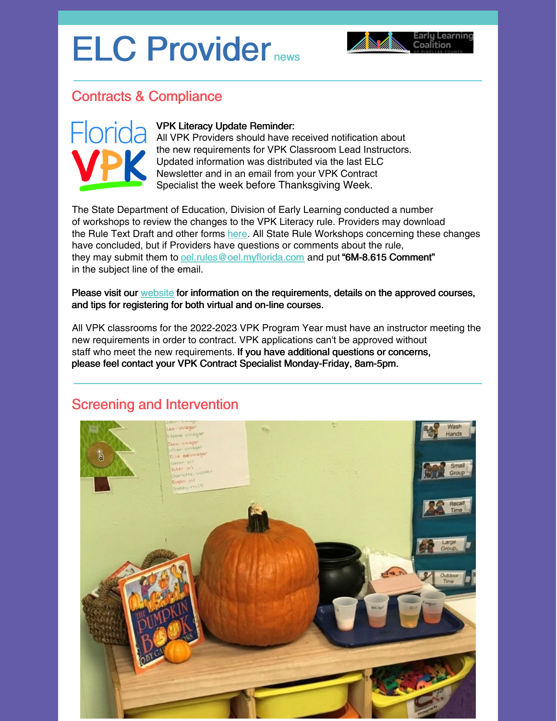# ELC Provider news



## Contracts & Compliance



#### VPK Literacy Update Reminder:

All VPK Providers should have received notification about the new requirements for VPK Classroom Lead Instructors. Updated information was distributed via the last ELC Newsletter and in an email from your VPK Contract Specialist the week before Thanksgiving Week.

The State Department of Education, Division of Early Learning conducted a number of workshops to review the changes to the VPK Literacy rule. Providers may download the Rule Text Draft and other forms [here](http://www.floridaearlylearning.com/statewide-initiatives/proposed-rules). All State Rule Workshops concerning these changes have concluded, but if Providers have questions or comments about the rule, they may submit them to [oel.rules@oel.myflorida.com](mailto:oel.rules@oel.myflorida.com) and put "6M-8.615 Comment" in the subject line of the email.

Please visit our [website](https://elcpinellas.net/for-providers/) for information on the requirements, details on the approved courses, and tips for registering for both virtual and on-line courses.

All VPK classrooms for the 2022-2023 VPK Program Year must have an instructor meeting the new requirements in order to contract. VPK applications can't be approved without staff who meet the new requirements. If you have additional questions or concerns, please feel contact your VPK Contract Specialist Monday-Friday, 8am-5pm.

## Screening and Intervention